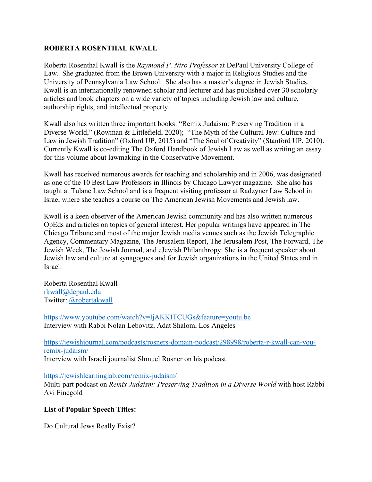## **ROBERTA ROSENTHAL KWALL**

Roberta Rosenthal Kwall is the *Raymond P. Niro Professor* at DePaul University College of Law. She graduated from the Brown University with a major in Religious Studies and the University of Pennsylvania Law School. She also has a master's degree in Jewish Studies. Kwall is an internationally renowned scholar and lecturer and has published over 30 scholarly articles and book chapters on a wide variety of topics including Jewish law and culture, authorship rights, and intellectual property.

Kwall also has written three important books: "Remix Judaism: Preserving Tradition in a Diverse World," (Rowman & Littlefield, 2020); "The Myth of the Cultural Jew: Culture and Law in Jewish Tradition" (Oxford UP, 2015) and "The Soul of Creativity" (Stanford UP, 2010). Currently Kwall is co-editing The Oxford Handbook of Jewish Law as well as writing an essay for this volume about lawmaking in the Conservative Movement.

Kwall has received numerous awards for teaching and scholarship and in 2006, was designated as one of the 10 Best Law Professors in Illinois by Chicago Lawyer magazine. She also has taught at Tulane Law School and is a frequent visiting professor at Radzyner Law School in Israel where she teaches a course on The American Jewish Movements and Jewish law.

Kwall is a keen observer of the American Jewish community and has also written numerous OpEds and articles on topics of general interest. Her popular writings have appeared in The Chicago Tribune and most of the major Jewish media venues such as the Jewish Telegraphic Agency, Commentary Magazine, The Jerusalem Report, The Jerusalem Post, The Forward, The Jewish Week, The Jewish Journal, and eJewish Philanthropy. She is a frequent speaker about Jewish law and culture at synagogues and for Jewish organizations in the United States and in Israel.

Roberta Rosenthal Kwall rkwall@depaul.edu Twitter: @robertakwall

https://www.youtube.com/watch?v=IjAKKITCUGs&feature=youtu.be Interview with Rabbi Nolan Lebovitz, Adat Shalom, Los Angeles

https://jewishjournal.com/podcasts/rosners-domain-podcast/298998/roberta-r-kwall-can-youremix-judaism/ Interview with Israeli journalist Shmuel Rosner on his podcast.

## https://jewishlearninglab.com/remix-judaism/

Multi-part podcast on *Remix Judaism: Preserving Tradition in a Diverse World* with host Rabbi Avi Finegold

## **List of Popular Speech Titles:**

Do Cultural Jews Really Exist?